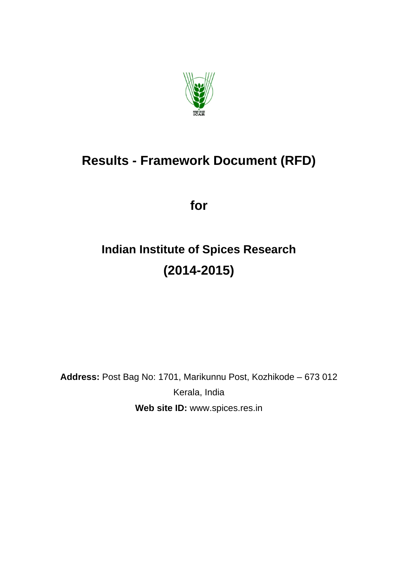

# **Results - Framework Document (RFD)**

**for** 

# **Indian Institute of Spices Research (2014-2015)**

**Address:** Post Bag No: 1701, Marikunnu Post, Kozhikode – 673 012 Kerala, India **Web site ID:** www.spices.res.in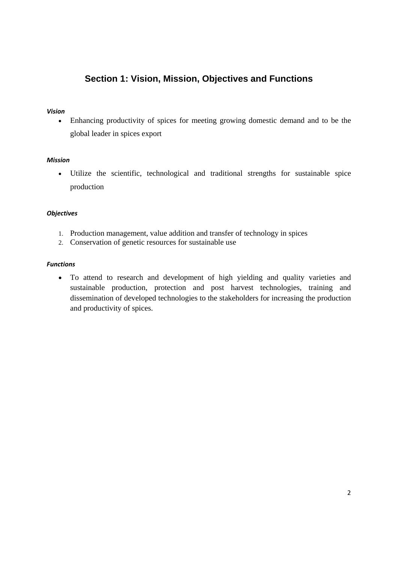### **Section 1: Vision, Mission, Objectives and Functions**

#### *Vision*

 Enhancing productivity of spices for meeting growing domestic demand and to be the global leader in spices export

#### *Mission*

 Utilize the scientific, technological and traditional strengths for sustainable spice production

#### *Objectives*

- 1. Production management, value addition and transfer of technology in spices
- 2. Conservation of genetic resources for sustainable use

#### *Functions*

 To attend to research and development of high yielding and quality varieties and sustainable production, protection and post harvest technologies, training and dissemination of developed technologies to the stakeholders for increasing the production and productivity of spices.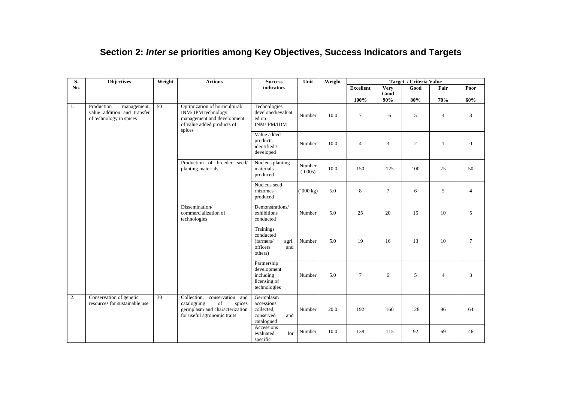| Section 2: Inter se priorities among Key Objectives, Success Indicators and Targets |  |  |  |  |  |  |
|-------------------------------------------------------------------------------------|--|--|--|--|--|--|
|-------------------------------------------------------------------------------------|--|--|--|--|--|--|

| S.  | Objectives                                                                          | Weight          | <b>Actions</b>                                                                                                               | <b>Success</b><br>Unit                                                     |                        | Weight |                  |                     | Target / Criteria Value |                |                  |
|-----|-------------------------------------------------------------------------------------|-----------------|------------------------------------------------------------------------------------------------------------------------------|----------------------------------------------------------------------------|------------------------|--------|------------------|---------------------|-------------------------|----------------|------------------|
| No. |                                                                                     |                 |                                                                                                                              | indicators                                                                 |                        |        | <b>Excellent</b> | <b>Very</b><br>Good | Good                    | Fair           | Poor             |
|     |                                                                                     |                 |                                                                                                                              |                                                                            |                        |        | 100%             | $90\%$              | $80\%$                  | 70%            | 60%              |
| 1.  | Production<br>management,<br>value addition and transfer<br>of technology in spices | 50              | Optimization of horticultural/<br>INM/IPM technology<br>management and development<br>of value added products of<br>spices   | Technologies<br>developed/evaluat<br>ed on<br><b>INM/IPM/IDM</b>           | Number                 | 10.0   | $\tau$           | 6                   | 5                       | $\overline{4}$ | 3                |
|     |                                                                                     |                 |                                                                                                                              | Value added<br>products<br>identified /<br>developed                       | Number                 | 10.0   | $\overline{4}$   | 3                   | $\overline{2}$          | $\mathbf{1}$   | $\boldsymbol{0}$ |
|     |                                                                                     |                 | Production of breeder seed/<br>planting materials                                                                            | Nucleus planting<br>materials<br>produced                                  | Number<br>(5000s)      | 10.0   | 150              | 125                 | 100                     | 75             | 50               |
|     |                                                                                     |                 |                                                                                                                              | Nucleus seed<br>rhizomes<br>produced                                       | $(^{6}000 \text{ kg})$ | 5.0    | 8                | $\tau$              | 6                       | 5              | $\overline{4}$   |
|     |                                                                                     |                 | Dissemination/<br>commercialization of<br>technologies                                                                       | Demonstrations/<br>exhibitions<br>conducted                                | Number                 | 5.0    | 25               | 20                  | 15                      | 10             | 5                |
|     |                                                                                     |                 |                                                                                                                              | Trainings<br>conducted<br>(farmers/<br>agrl.<br>officers<br>and<br>others) | Number                 | 5.0    | 19               | 16                  | 13                      | 10             | $\tau$           |
|     |                                                                                     |                 |                                                                                                                              | Partnership<br>development<br>including<br>licensing of<br>technologies    | Number                 | 5.0    | $\overline{7}$   | 6                   | 5                       | $\overline{4}$ | $\mathfrak{Z}$   |
| 2.  | Conservation of genetic<br>resources for sustainable use                            | $\overline{30}$ | Collection, conservation and<br>of<br>cataloguing<br>spices<br>germplasm and characterization<br>for useful agronomic traits | Germplasm<br>accessions<br>collected,<br>conserved<br>and<br>catalogued    | Number                 | 20.0   | 192              | 160                 | 128                     | 96             | 64               |
|     |                                                                                     |                 |                                                                                                                              | Accessions<br>for<br>evaluated<br>specific                                 | Number                 | 10.0   | 138              | 115                 | 92                      | 69             | 46               |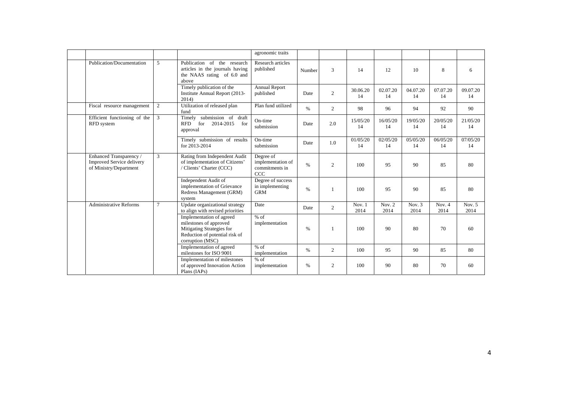|                                                                                       |        |                                                                                                                                       | agronomic traits                                        |        |                |                |                  |                  |                |                                     |
|---------------------------------------------------------------------------------------|--------|---------------------------------------------------------------------------------------------------------------------------------------|---------------------------------------------------------|--------|----------------|----------------|------------------|------------------|----------------|-------------------------------------|
| Publication/Documentation                                                             | 5      | Publication of the research<br>articles in the journals having<br>the NAAS rating of 6.0 and<br>above                                 | Research articles<br>published                          | Number | 3              | 14             | 12               | 10               | 8              | 6                                   |
|                                                                                       |        | Timely publication of the<br>Institute Annual Report (2013-<br>2014)                                                                  | <b>Annual Report</b><br>published                       | Date   | $\overline{2}$ | 30.06.20<br>14 | 02.07.20<br>14   | 04.07.20<br>14   | 07.07.20<br>14 | 09.07.20<br>14                      |
| Fiscal resource management                                                            | 2      | Utilization of released plan<br>fund                                                                                                  | Plan fund utilized                                      | $\%$   | 2              | 98             | 96               | 94               | 92             | 90                                  |
| Efficient functioning of the<br>RFD system                                            | 3      | Timely submission of draft<br>for<br>2014-2015<br><b>RFD</b><br>for<br>approval                                                       | On-time<br>submission                                   | Date   | 2.0            | 15/05/20<br>14 | 16/05/20<br>14   | 19/05/20<br>14   | 20/05/20<br>14 | 21/05/20<br>14                      |
|                                                                                       |        | Timely submission of results<br>for 2013-2014                                                                                         | On-time<br>submission                                   | Date   | 1.0            | 01/05/20<br>14 | 02/05/20<br>14   | 05/05/20<br>14   | 06/05/20<br>14 | 07/05/20<br>14                      |
| Enhanced Transparency /<br><b>Improved Service delivery</b><br>of Ministry/Department | 3      | Rating from Independent Audit<br>of implementation of Citizens'<br>/ Clients' Charter (CCC)                                           | Degree of<br>implementation of<br>commitments in<br>CCC | $\%$   | $\overline{2}$ | 100            | 95               | 90               | 85             | 80                                  |
|                                                                                       |        | Independent Audit of<br>implementation of Grievance<br>Redress Management (GRM)<br>system                                             | Degree of success<br>in implementing<br><b>GRM</b>      | $\%$   |                | 100            | 95               | 90               | 85             | 80                                  |
| <b>Administrative Reforms</b>                                                         | $\tau$ | Update organizational strategy<br>to align with revised priorities                                                                    | Date                                                    | Date   | $\overline{2}$ | Nov. 1<br>2014 | Nov. $2$<br>2014 | Nov. $3$<br>2014 | Nov. 4<br>2014 | $\overline{\text{Nov}}$ . 5<br>2014 |
|                                                                                       |        | Implementation of agreed<br>milestones of approved<br>Mitigating Strategies for<br>Reduction of potential risk of<br>corruption (MSC) | $%$ of<br>implementation                                | $\%$   |                | 100            | 90               | 80               | 70             | 60                                  |
|                                                                                       |        | Implementation of agreed<br>milestones for ISO 9001                                                                                   | $%$ of<br>implementation                                | %      | 2              | 100            | 95               | 90               | 85             | 80                                  |
|                                                                                       |        | Implementation of milestones<br>of approved Innovation Action<br>Plans (IAPs)                                                         | $%$ of<br>implementation                                | $\%$   | $\overline{c}$ | 100            | 90               | 80               | 70             | 60                                  |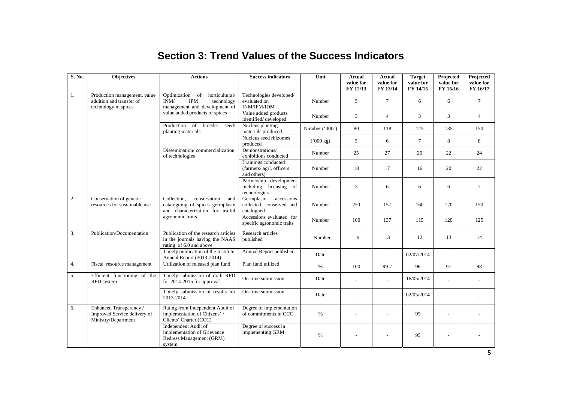### **Section 3: Trend Values of the Success Indicators**

| S. No. | <b>Objectives</b>                                                                | <b>Actions</b>                                                                                            | <b>Success indicators</b>                                         | Unit                   | Actual<br>value for<br>FY 12/13 | Actual<br>value for<br>FY 13/14 | <b>Target</b><br>value for<br>FY 14/15 | Projected<br>value for<br>FY 15/16 | Projected<br>value for<br>FY 16/17 |
|--------|----------------------------------------------------------------------------------|-----------------------------------------------------------------------------------------------------------|-------------------------------------------------------------------|------------------------|---------------------------------|---------------------------------|----------------------------------------|------------------------------------|------------------------------------|
| 1.     | Production management, value<br>addition and transfer of<br>technology in spices | Optimization<br>horticultural/<br>of<br><b>IPM</b><br>INM/<br>technology<br>management and development of | Technologies developed/<br>evaluated on<br>INM/IPM/IDM            | Number                 | 5                               | $\tau$                          | 6                                      | 6                                  | $\tau$                             |
|        |                                                                                  | value added products of spices                                                                            | Value added products<br>identified/developed                      | Number                 | 3                               | $\overline{4}$                  | 3                                      | 3                                  | $\overline{4}$                     |
|        |                                                                                  | Production of breeder<br>seed/<br>planting materials                                                      | Nucleus planting<br>materials produced                            | Number $('000s)$       | 80                              | 118                             | 125                                    | 135                                | 150                                |
|        |                                                                                  |                                                                                                           | Nucleus seed rhizomes<br>produced                                 | $(^{6}000 \text{ kg})$ | 5                               | 6                               | $\overline{7}$                         | 8                                  | 8                                  |
|        |                                                                                  | Dissemination/commercialization<br>of technologies                                                        | Demonstrations/<br>exhibitions conducted                          | Number                 | 25                              | 27                              | 20                                     | 22                                 | 24                                 |
|        |                                                                                  |                                                                                                           | Trainings conducted<br>(farmers/ agrl. officers<br>and others)    | Number                 | 18                              | 17                              | 16                                     | 20                                 | 22                                 |
|        |                                                                                  |                                                                                                           | Partnership development<br>including licensing of<br>technologies | Number                 | 3                               | 6                               | 6                                      | 6                                  | $\overline{7}$                     |
| 2.     | Conservation of genetic<br>resources for sustainable use                         | Collection,<br>conservation<br>and<br>cataloguing of spices germplasm<br>and characterization for useful  | Germplasm<br>accessions<br>collected, conserved and<br>catalogued | Number                 | 250                             | 157                             | 160                                    | 170                                | 150                                |
|        |                                                                                  | agronomic traits                                                                                          | Accessions evaluated for<br>specific agronomic traits             | Number                 | 100                             | 137                             | 115                                    | 120                                | 125                                |
| 3.     | Publication/Documentation                                                        | Publication of the research articles<br>in the journals having the NAAS<br>rating of 6.0 and above        | Research articles<br>published                                    | Number                 | 6                               | 13                              | 12                                     | 13                                 | 14                                 |
|        |                                                                                  | Timely publication of the Institute<br>Annual Report (2013-2014)                                          | Annual Report published                                           | Date                   | $\overline{\phantom{a}}$        | $\overline{a}$                  | 02/07/2014                             | $\overline{a}$                     | $\overline{a}$                     |
| 4.     | Fiscal resource management                                                       | Utilization of released plan fund                                                                         | Plan fund utilized                                                | $\%$                   | 100                             | 99.7                            | 96                                     | 97                                 | 98                                 |
| 5.     | Efficient functioning of the<br>RFD system                                       | Timely submission of draft RFD<br>for 2014-2015 for approval                                              | On-time submission                                                | Date                   |                                 |                                 | 16/05/2014                             |                                    |                                    |
|        |                                                                                  | Timely submission of results for<br>2013-2014                                                             | On-time submission                                                | Date                   |                                 |                                 | 02/05/2014                             |                                    |                                    |
| 6.     | Enhanced Transparency /<br>Improved Service delivery of<br>Ministry/Department   | Rating from Independent Audit of<br>implementation of Citizens' /<br>Clients' Charter (CCC)               | Degree of implementation<br>of commitments in CCC                 | %                      |                                 |                                 | 95                                     |                                    |                                    |
|        |                                                                                  | Independent Audit of<br>implementation of Grievance<br>Redress Management (GRM)<br>system                 | Degree of success in<br>implementing GRM                          | $\%$                   |                                 |                                 | 95                                     |                                    |                                    |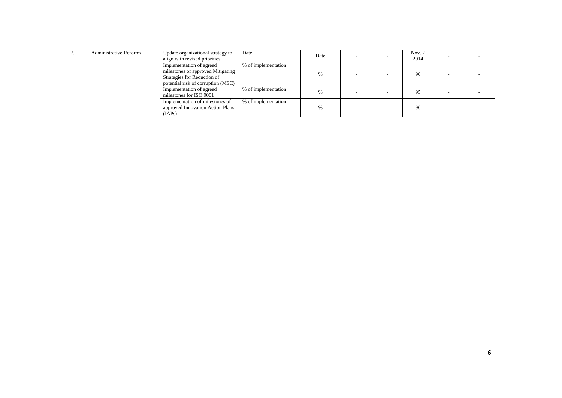| <b>Administrative Reforms</b> | Update organizational strategy to<br>align with revised priorities                                                                 | Date                | Date | $\overline{\phantom{a}}$ | Nov. $2$<br>2014 |  |
|-------------------------------|------------------------------------------------------------------------------------------------------------------------------------|---------------------|------|--------------------------|------------------|--|
|                               | Implementation of agreed<br>milestones of approved Mitigating<br>Strategies for Reduction of<br>potential risk of corruption (MSC) | % of implementation | %    |                          | 90               |  |
|                               | Implementation of agreed<br>milestones for ISO 9001                                                                                | % of implementation | %    |                          | 95               |  |
|                               | Implementation of milestones of<br>approved Innovation Action Plans<br>(IAPs)                                                      | % of implementation | %    |                          | 90               |  |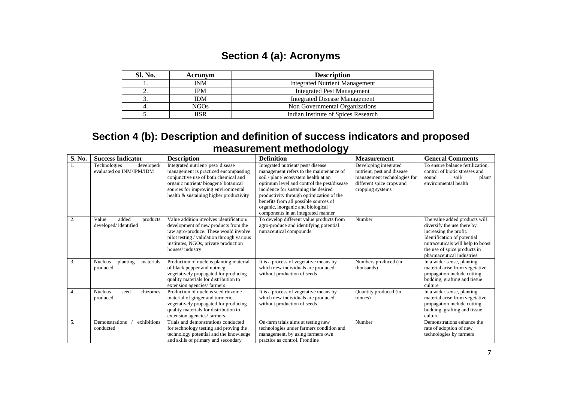### **Section 4 (a): Acronyms**

| Sl. No. | Acronym    | <b>Description</b>                    |
|---------|------------|---------------------------------------|
|         | INM        | <b>Integrated Nutrient Management</b> |
|         | <b>IPM</b> | <b>Integrated Pest Management</b>     |
|         | IDМ        | <b>Integrated Disease Management</b>  |
|         | NGOs       | Non Governmental Organizations        |
|         | IISR       | Indian Institute of Spices Research   |

### **Section 4 (b): Description and definition of success indicators and proposed measurement methodology**

| S. No. | <b>Success Indicator</b>                               | <b>Description</b>                                                                                                                                                                                                                          | <b>Definition</b>                                                                                                                                                                                                                                                                                                                                                         | <b>Measurement</b>                                                                                                                  | <b>General Comments</b>                                                                                                                                                                                                |
|--------|--------------------------------------------------------|---------------------------------------------------------------------------------------------------------------------------------------------------------------------------------------------------------------------------------------------|---------------------------------------------------------------------------------------------------------------------------------------------------------------------------------------------------------------------------------------------------------------------------------------------------------------------------------------------------------------------------|-------------------------------------------------------------------------------------------------------------------------------------|------------------------------------------------------------------------------------------------------------------------------------------------------------------------------------------------------------------------|
|        | developed/<br>Technologies<br>evaluated on INM/IPM/IDM | Integrated nutrient/ pest/ disease<br>management is practiced encompassing<br>conjunctive use of both chemical and<br>organic nutrient/bioagent/botanical<br>sources for improving environmental<br>health & sustaining higher productivity | Integrated nutrient/pest/disease<br>management refers to the maintenance of<br>soil / plant/ ecosystem health at an<br>optimum level and control the pest/disease<br>incidence for sustaining the desired<br>productivity through optimization of the<br>benefits from all possible sources of<br>organic, inorganic and biological<br>components in an integrated manner | Developing integrated<br>nutrient, pest and disease<br>management technologies for<br>different spice crops and<br>cropping systems | To ensure balance fertilization.<br>control of biotic stresses and<br>soil/<br>plant/<br>sound<br>environmental health                                                                                                 |
| 2.     | Value<br>added<br>products<br>developed/identified     | Value addition involves identification/<br>development of new products from the<br>raw agro-produce. These would involve<br>pilot testing / validation through various<br>institutes, NGOs, private production<br>houses/industry           | To develop different value products from<br>agro-produce and identifying potential<br>nutraceutical compounds                                                                                                                                                                                                                                                             | Number                                                                                                                              | The value added products will<br>diversify the use there by<br>increasing the profit.<br>Identification of potential<br>nutraceuticals will help to boost<br>the use of spice products in<br>pharmaceutical industries |
| 3.     | <b>Nucleus</b><br>materials<br>planting<br>produced    | Production of nucleus planting material<br>of black pepper and nutmeg,<br>vegetatively propagated for producing<br>quality materials for distribution to<br>extension agencies/farmers                                                      | It is a process of vegetative means by<br>which new individuals are produced<br>without production of seeds                                                                                                                                                                                                                                                               | Numbers produced (in<br>thousands)                                                                                                  | In a wider sense, planting<br>material arise from vegetative<br>propagation include cutting,<br>budding, grafting and tissue<br>culture                                                                                |
| 4.     | <b>Nucleus</b><br>rhizomes<br>seed<br>produced         | Production of nucleus seed rhizome<br>material of ginger and turmeric,<br>vegetatively propagated for producing<br>quality materials for distribution to<br>extension agencies/farmers                                                      | It is a process of vegetative means by<br>which new individuals are produced<br>without production of seeds                                                                                                                                                                                                                                                               | Quantity produced (in<br>tonnes)                                                                                                    | In a wider sense, planting<br>material arise from vegetative<br>propagation include cutting,<br>budding, grafting and tissue<br>culture                                                                                |
| 5.     | exhibitions<br>Demonstrations<br>conducted             | Trials and demonstrations conducted<br>for technology testing and proving the<br>technology potential and the knowledge<br>and skills of primary and secondary                                                                              | On-farm trials aims at testing new<br>technologies under farmers condition and<br>management, by using farmers own<br>practice as control. Frontline                                                                                                                                                                                                                      | Number                                                                                                                              | Demonstrations enhance the<br>rate of adoption of new<br>technologies by farmers                                                                                                                                       |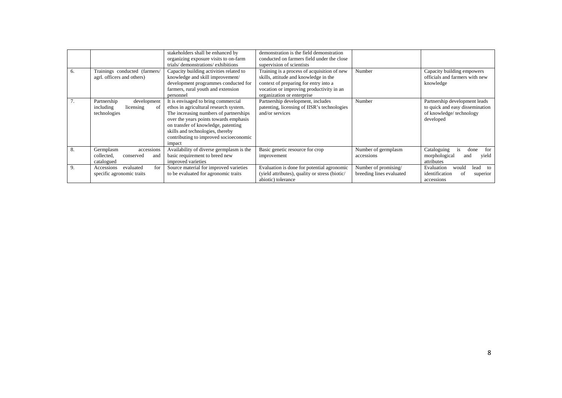|    |                                                                            | stakeholders shall be enhanced by<br>organizing exposure visits to on-farm<br>trials/demonstrations/exhibitions                                                                                                                                                                                  | demonstration is the field demonstration<br>conducted on farmers field under the close<br>supervision of scientists                                                                                     |                                                  |                                                                                                          |
|----|----------------------------------------------------------------------------|--------------------------------------------------------------------------------------------------------------------------------------------------------------------------------------------------------------------------------------------------------------------------------------------------|---------------------------------------------------------------------------------------------------------------------------------------------------------------------------------------------------------|--------------------------------------------------|----------------------------------------------------------------------------------------------------------|
| 6. | Trainings conducted (farmers/<br>agrl. officers and others)                | Capacity building activities related to<br>knowledge and skill improvement/<br>development programmes conducted for<br>farmers, rural youth and extension<br>personnel                                                                                                                           | Training is a process of acquisition of new<br>skills, attitude and knowledge in the<br>context of preparing for entry into a<br>vocation or improving productivity in an<br>organization or enterprise | Number                                           | Capacity building empowers<br>officials and farmers with new<br>knowledge                                |
| 7. | Partnership<br>development<br>including<br>licensing<br>οf<br>technologies | It is envisaged to bring commercial<br>ethos in agricultural research system.<br>The increasing numbers of partnerships<br>over the years points towards emphasis<br>on transfer of knowledge, patenting<br>skills and technologies, thereby<br>contributing to improved socioeconomic<br>impact | Partnership development, includes<br>patenting, licensing of IISR's technologies<br>and/or services                                                                                                     | Number                                           | Partnership development leads<br>to quick and easy dissemination<br>of knowledge/technology<br>developed |
| 8. | Germplasm<br>accessions<br>collected,<br>conserved<br>and<br>catalogued    | Availability of diverse germplasm is the<br>basic requirement to breed new<br>improved varieties                                                                                                                                                                                                 | Basic genetic resource for crop<br>improvement                                                                                                                                                          | Number of germplasm<br>accessions                | Cataloguing<br>for<br>is.<br>done<br>morphological<br>vield<br>and<br>attributes                         |
| 9. | for<br>evaluated<br>Accessions<br>specific agronomic traits                | Source material for improved varieties<br>to be evaluated for agronomic traits                                                                                                                                                                                                                   | Evaluation is done for potential agronomic<br>(yield attributes), quality or stress (biotic/<br>abiotic) tolerance                                                                                      | Number of promising/<br>breeding lines evaluated | lead<br>Evaluation<br>would<br>to<br>identification<br>ot<br>superior<br>accessions                      |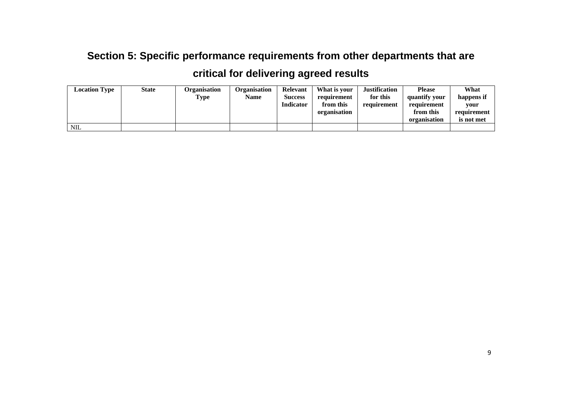## **Section 5: Specific performance requirements from other departments that are**

## **critical for delivering agreed results**

| <b>Location Type</b> | <b>State</b> | Organisation | Organisation | Relevant         | What is your | <b>Justification</b> | <b>Please</b> | What        |
|----------------------|--------------|--------------|--------------|------------------|--------------|----------------------|---------------|-------------|
|                      |              | Type         | Name         | <b>Success</b>   | requirement  | for this             | quantify your | happens if  |
|                      |              |              |              | <b>Indicator</b> | from this    | requirement          | requirement   | vour        |
|                      |              |              |              |                  | organisation |                      | from this     | requirement |
|                      |              |              |              |                  |              |                      | organisation  | is not met  |
| <b>NIL</b>           |              |              |              |                  |              |                      |               |             |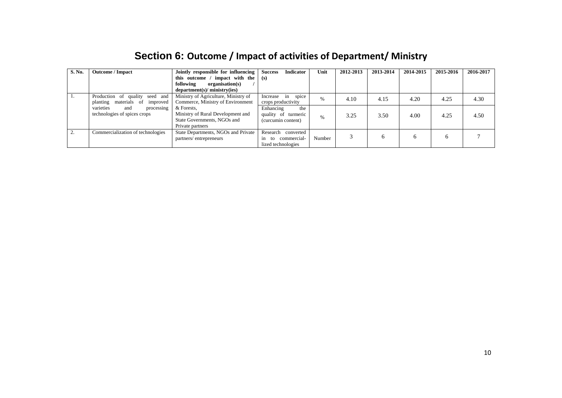| S. No. | <b>Outcome</b> / Impact                                                | Jointly responsible for influencing<br>this outcome / impact with the<br>following<br>organisation(s)<br>department(s)/ministry(ies) | <b>Success</b><br><b>Indicator</b><br>(s)                              | Unit   | 2012-2013 | 2013-2014 | 2014-2015 | 2015-2016 | 2016-2017 |
|--------|------------------------------------------------------------------------|--------------------------------------------------------------------------------------------------------------------------------------|------------------------------------------------------------------------|--------|-----------|-----------|-----------|-----------|-----------|
|        | Production of quality seed and<br>materials of<br>planting<br>improved | Ministry of Agriculture, Ministry of<br>Commerce, Ministry of Environment                                                            | spice<br>Increase<br>in<br>crops productivity                          | $\%$   | 4.10      | 4.15      | 4.20      | 4.25      | 4.30      |
|        | varieties<br>processing<br>and<br>technologies of spices crops         | & Forests.<br>Ministry of Rural Development and<br>State Governments, NGOs and<br>Private partners                                   | Enhancing<br>the<br>quality of turmeric<br>(curcumin content)          | %      | 3.25      | 3.50      | 4.00      | 4.25      | 4.50      |
|        | Commercialization of technologies                                      | State Departments, NGOs and Private<br>partners/entrepreneurs                                                                        | Research<br>converted<br>commercial-<br>to<br>1n<br>lized technologies | Number |           | 6         | h         | O         |           |

#### **Section 6: Outcome / Impact of activities of Department/ Ministry**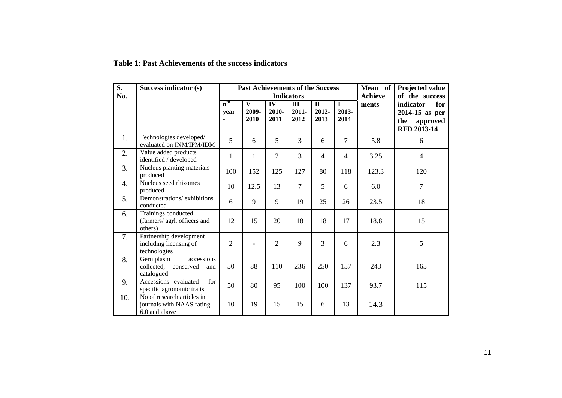| S.<br>No. | Success indicator (s)                                                    |                                           |                               |                     | <b>Past Achievements of the Success</b><br><b>Indicators</b> |                               | Mean of<br><b>Achieve</b>    | Projected value<br>of the success |                                                                        |
|-----------|--------------------------------------------------------------------------|-------------------------------------------|-------------------------------|---------------------|--------------------------------------------------------------|-------------------------------|------------------------------|-----------------------------------|------------------------------------------------------------------------|
|           |                                                                          | $n^{\text{th}}$<br>vear<br>$\blacksquare$ | $\mathbf{V}$<br>2009-<br>2010 | IV<br>2010-<br>2011 | $\mathbf{III}$<br>$2011 -$<br>2012                           | $\mathbf{I}$<br>2012-<br>2013 | $\mathbf I$<br>2013-<br>2014 | ments                             | indicator<br>for<br>$2014-15$ as per<br>approved<br>the<br>RFD 2013-14 |
| 1.        | Technologies developed/<br>evaluated on INM/IPM/IDM                      | 5                                         | 6                             | 5                   | $\overline{3}$                                               | 6                             | $\overline{7}$               | 5.8                               | 6                                                                      |
| 2.        | Value added products<br>identified / developed                           | $\mathbf{1}$                              | 1                             | $\overline{2}$      | 3                                                            | 4                             | $\overline{4}$               | 3.25                              | $\overline{4}$                                                         |
| 3.        | Nucleus planting materials<br>produced                                   | 100                                       | 152                           | 125                 | 127                                                          | 80                            | 118                          | 123.3                             | 120                                                                    |
| 4.        | Nucleus seed rhizomes<br>produced                                        | 10                                        | 12.5                          | 13                  | $\overline{7}$                                               | 5                             | 6                            | 6.0                               | $\overline{7}$                                                         |
| 5.        | Demonstrations/exhibitions<br>conducted                                  | 6                                         | 9                             | 9                   | 19                                                           | 25                            | 26                           | 23.5                              | 18                                                                     |
| 6.        | Trainings conducted<br>(farmers/ agrl. officers and<br>others)           | 12                                        | 15                            | 20                  | 18                                                           | 18                            | 17                           | 18.8                              | 15                                                                     |
| 7.        | Partnership development<br>including licensing of<br>technologies        | $\overline{2}$                            | $\overline{a}$                | $\overline{2}$      | 9                                                            | $\overline{3}$                | 6                            | 2.3                               | 5                                                                      |
| 8.        | accessions<br>Germplasm<br>collected,<br>conserved<br>and<br>catalogued  | 50                                        | 88                            | 110                 | 236                                                          | 250                           | 157                          | 243                               | 165                                                                    |
| 9.        | Accessions evaluated<br>for<br>specific agronomic traits                 | 50                                        | 80                            | 95                  | 100                                                          | 100                           | 137                          | 93.7                              | 115                                                                    |
| 10.       | No of research articles in<br>journals with NAAS rating<br>6.0 and above | 10                                        | 19                            | 15                  | 15                                                           | 6                             | 13                           | 14.3                              |                                                                        |

#### **Table 1: Past Achievements of the success indicators**